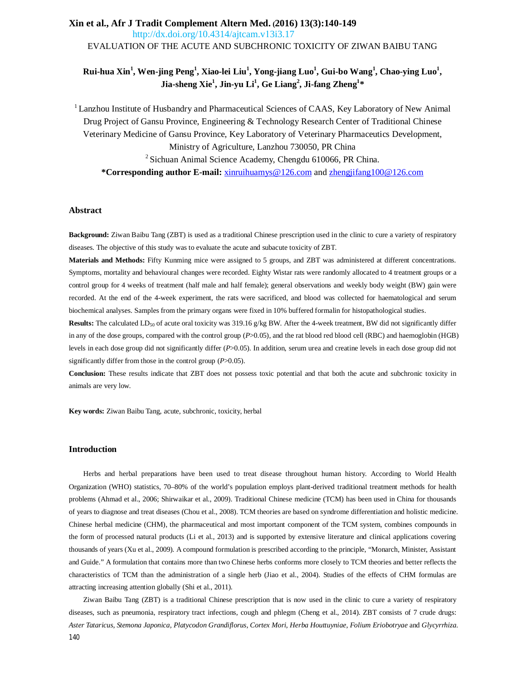# **Xin et al., Afr J Tradit Complement Altern Med. (2016) 13(3):140-149**  9. [http://dx.doi.org/10.4314/ajtcam.v](http://dx.doi.org/10.4314/ajtcam.v3i3.17)13i3.17 EVALUATION OF THE ACUTE AND SUBCHRONIC TOXICITY OF ZIWAN BAIBU TANG

# **Rui-hua Xin<sup>1</sup> , Wen-jing Peng<sup>1</sup> , Xiao-lei Liu<sup>1</sup> , Yong-jiang Luo<sup>1</sup> , Gui-bo Wang<sup>1</sup> , Chao-ying Luo<sup>1</sup> , Jia-sheng Xie<sup>1</sup> , Jin-yu Li<sup>1</sup> , Ge Liang<sup>2</sup> , Ji-fang Zheng<sup>1</sup> \***

<sup>1</sup> Lanzhou Institute of Husbandry and Pharmaceutical Sciences of CAAS, Key Laboratory of New Animal Drug Project of Gansu Province, Engineering & Technology Research Center of Traditional Chinese Veterinary Medicine of Gansu Province, Key Laboratory of Veterinary Pharmaceutics Development, Ministry of Agriculture, Lanzhou 730050, PR China  $2$  Sichuan Animal Science Academy, Chengdu 610066, PR China. **\*Corresponding author E-mail:** [xinruihuamys@126.com](mailto:xinruihuamys@126.com) and [zhengjifang100@126.com](mailto:zhengjifang100@126.com)

### **Abstract**

**Background:** Ziwan Baibu Tang (ZBT) is used as a traditional Chinese prescription used in the clinic to cure a variety of respiratory diseases. The objective of this study was to evaluate the acute and subacute toxicity of ZBT.

**Materials and Methods:** Fifty Kunming mice were assigned to 5 groups, and ZBT was administered at different concentrations. Symptoms, mortality and behavioural changes were recorded. Eighty Wistar rats were randomly allocated to 4 treatment groups or a control group for 4 weeks of treatment (half male and half female); general observations and weekly body weight (BW) gain were recorded. At the end of the 4-week experiment, the rats were sacrificed, and blood was collected for haematological and serum biochemical analyses. Samples from the primary organs were fixed in 10% buffered formalin for histopathological studies.

**Results:** The calculated LD<sub>50</sub> of acute oral toxicity was 319.16 g/kg BW. After the 4-week treatment, BW did not significantly differ in any of the dose groups, compared with the control group ( $P > 0.05$ ), and the rat blood red blood cell (RBC) and haemoglobin (HGB) levels in each dose group did not significantly differ (*P*>0.05). In addition, serum urea and creatine levels in each dose group did not significantly differ from those in the control group (*P*>0.05).

**Conclusion:** These results indicate that ZBT does not possess toxic potential and that both the acute and subchronic toxicity in animals are very low.

**Key words:** Ziwan Baibu Tang, acute, subchronic, toxicity, herbal

### **Introduction**

Herbs and herbal preparations have been used to treat disease throughout human history. According to World Health Organization (WHO) statistics, 70–80% of the world's population employs plant-derived traditional treatment methods for health problems (Ahmad et al., 2006; Shirwaikar et al., 2009). Traditional Chinese medicine (TCM) has been used in China for thousands of years to diagnose and treat diseases (Chou et al., 2008). TCM theories are based on syndrome differentiation and holistic medicine. Chinese herbal medicine (CHM), the pharmaceutical and most important component of the TCM system, combines compounds in the form of processed natural products (Li et al., 2013) and is supported by extensive literature and clinical applications covering thousands of years (Xu et al., 2009). A compound formulation is prescribed according to the principle, "Monarch, Minister, Assistant and Guide." A formulation that contains more than two Chinese herbs conforms more closely to TCM theories and better reflects the characteristics of TCM than the administration of a single herb (Jiao et al., 2004). Studies of the effects of CHM formulas are attracting increasing attention globally (Shi et al., 2011).

140 Ziwan Baibu Tang (ZBT) is a traditional Chinese prescription that is now used in the clinic to cure a variety of respiratory diseases, such as pneumonia, respiratory tract infections, cough and phlegm (Cheng et al., 2014). ZBT consists of 7 crude drugs: *Aster Tataricus, Stemona Japonica, Platycodon Grandiflorus, Cortex Mori, Herba Houttuyniae, Folium Eriobotryae* and *Glycyrrhiza*.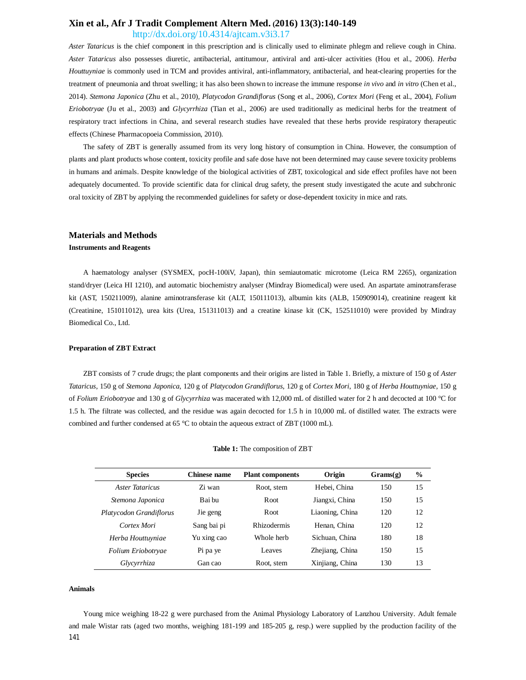<http://dx.doi.org/10.4314/ajtcam.v3i3.17>

*Aster Tataricus* is the chief component in this prescription and is clinically used to eliminate phlegm and relieve cough in China. *Aster Tataricus* also possesses diuretic, antibacterial, antitumour, antiviral and anti-ulcer activities (Hou et al., 2006). *Herba Houttuyniae* is commonly used in TCM and provides antiviral, anti-inflammatory, antibacterial, and heat-clearing properties for the treatment of pneumonia and throat swelling; it has also been shown to increase the immune response *in vivo* and *in vitro* (Chen et al., 2014). *Stemona Japonica* (Zhu et al., 2010)*, Platycodon Grandiflorus* (Song et al., 2006)*, Cortex Mori* (Feng et al., 2004)*, Folium Eriobotryae* (Ju et al., 2003) and *Glycyrrhiza* (Tian et al., 2006) are used traditionally as medicinal herbs for the treatment of respiratory tract infections in China, and several research studies have revealed that these herbs provide respiratory therapeutic effects (Chinese Pharmacopoeia Commission, 2010).

The safety of ZBT is generally assumed from its very long history of consumption in China. However, the consumption of plants and plant products whose content, toxicity profile and safe dose have not been determined may cause severe toxicity problems in humans and animals. Despite knowledge of the biological activities of ZBT, toxicological and side effect profiles have not been adequately documented. To provide scientific data for clinical drug safety, the present study investigated the acute and subchronic oral toxicity of ZBT by applying the recommended guidelines for safety or dose-dependent toxicity in mice and rats.

### **Materials and Methods**

#### **Instruments and Reagents**

A haematology analyser (SYSMEX, pocH-100iV, Japan), thin semiautomatic microtome (Leica RM 2265), organization stand/dryer (Leica HI 1210), and automatic biochemistry analyser (Mindray Biomedical) were used. An aspartate aminotransferase kit (AST, 150211009), alanine aminotransferase kit (ALT, 150111013), albumin kits (ALB, 150909014), creatinine reagent kit (Creatinine, 151011012), urea kits (Urea, 151311013) and a creatine kinase kit (CK, 152511010) were provided by Mindray Biomedical Co., Ltd.

### **Preparation of ZBT Extract**

ZBT consists of 7 crude drugs; the plant components and their origins are listed in Table 1. Briefly, a mixture of 150 g of *Aster Tataricus*, 150 g of *Stemona Japonica*, 120 g of *Platycodon Grandiflorus*, 120 g of *Cortex Mori*, 180 g of *Herba Houttuyniae*, 150 g of *Folium Eriobotryae* and 130 g of *Glycyrrhiza* was macerated with 12,000 mL of distilled water for 2 h and decocted at 100 °C for 1.5 h. The filtrate was collected, and the residue was again decocted for 1.5 h in 10,000 mL of distilled water. The extracts were combined and further condensed at 65 °C to obtain the aqueous extract of ZBT (1000 mL).

| <b>Species</b>          | Chinese name | <b>Plant components</b> | Origin          | Grams(g) | $\frac{0}{0}$ |
|-------------------------|--------------|-------------------------|-----------------|----------|---------------|
| Aster Tataricus         | Zi wan       | Root, stem              | Hebei. China    | 150      | 15            |
| Stemona Japonica        | Bai bu       | Root.                   | Jiangxi, China  | 150      | 15            |
| Platycodon Grandiflorus | Jie geng     | R <sub>oot</sub>        | Liaoning, China | 120      | 12            |
| Cortex Mori             | Sang bai pi  | <b>Rhizodermis</b>      | Henan, China    | 120      | 12            |
| Herba Houttuyniae       | Yu xing cao  | Whole herb              | Sichuan, China  | 180      | 18            |
| Folium Eriobotryae      | Pi pa ye     | Leaves                  | Zhejiang, China | 150      | 15            |
| Glycyrrhiza             | Gan cao      | Root, stem              | Xinjiang, China | 130      | 13            |

|  |  | <b>Table 1:</b> The composition of ZBT |  |
|--|--|----------------------------------------|--|
|--|--|----------------------------------------|--|

### **Animals**

141 Young mice weighing 18-22 g were purchased from the Animal Physiology Laboratory of Lanzhou University. Adult female and male Wistar rats (aged two months, weighing 181-199 and 185-205 g, resp.) were supplied by the production facility of the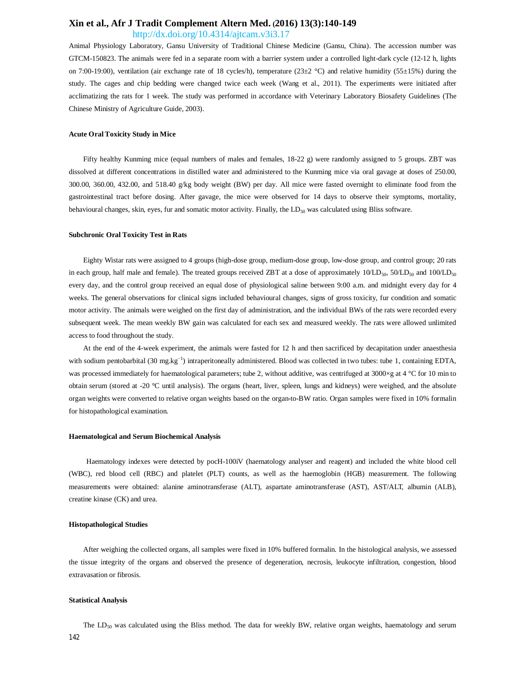## <http://dx.doi.org/10.4314/ajtcam.v3i3.17>

Animal Physiology Laboratory, Gansu University of Traditional Chinese Medicine (Gansu, China). The accession number was GTCM-150823. The animals were fed in a separate room with a barrier system under a controlled light-dark cycle (12-12 h, lights on 7:00-19:00), ventilation (air exchange rate of 18 cycles/h), temperature (23±2 °C) and relative humidity (55±15%) during the study. The cages and chip bedding were changed twice each week (Wang et al., 2011). The experiments were initiated after acclimatizing the rats for 1 week. The study was performed in accordance with Veterinary Laboratory Biosafety Guidelines (The Chinese Ministry of Agriculture Guide, 2003).

#### **Acute Oral Toxicity Study in Mice**

Fifty healthy Kunming mice (equal numbers of males and females, 18-22 g) were randomly assigned to 5 groups. ZBT was dissolved at different concentrations in distilled water and administered to the Kunming mice via oral gavage at doses of 250.00, 300.00, 360.00, 432.00, and 518.40 g/kg body weight (BW) per day. All mice were fasted overnight to eliminate food from the gastrointestinal tract before dosing. After gavage, the mice were observed for 14 days to observe their symptoms, mortality, behavioural changes, skin, eyes, fur and somatic motor activity. Finally, the  $LD_{50}$  was calculated using Bliss software.

### **Subchronic Oral Toxicity Test in Rats**

Eighty Wistar rats were assigned to 4 groups (high-dose group, medium-dose group, low-dose group, and control group; 20 rats in each group, half male and female). The treated groups received ZBT at a dose of approximately  $10/LD_{50}$ ,  $50/LD_{50}$  and  $100/LD_{50}$ every day, and the control group received an equal dose of physiological saline between 9:00 a.m. and midnight every day for 4 weeks. The general observations for clinical signs included behavioural changes, signs of gross toxicity, fur condition and somatic motor activity. The animals were weighed on the first day of administration, and the individual BWs of the rats were recorded every subsequent week. The mean weekly BW gain was calculated for each sex and measured weekly. The rats were allowed unlimited access to food throughout the study.

At the end of the 4-week experiment, the animals were fasted for 12 h and then sacrificed by decapitation under anaesthesia with sodium pentobarbital (30 mg.kg<sup>-1</sup>) intraperitoneally administered. Blood was collected in two tubes: tube 1, containing EDTA, was processed immediately for haematological parameters; tube 2, without additive, was centrifuged at 3000×g at 4 °C for 10 min to obtain serum (stored at -20 °C until analysis). The organs (heart, liver, spleen, lungs and kidneys) were weighed, and the absolute organ weights were converted to relative organ weights based on the organ-to-BW ratio. Organ samples were fixed in 10% formalin for histopathological examination.

#### **Haematological and Serum Biochemical Analysis**

Haematology indexes were detected by pocH-100iV (haematology analyser and reagent) and included the white blood cell (WBC), red blood cell (RBC) and platelet (PLT) counts, as well as the haemoglobin (HGB) measurement. The following measurements were obtained: alanine aminotransferase (ALT), aspartate aminotransferase (AST), AST/ALT, albumin (ALB), creatine kinase (CK) and urea.

#### **Histopathological Studies**

After weighing the collected organs, all samples were fixed in 10% buffered formalin. In the histological analysis, we assessed the tissue integrity of the organs and observed the presence of degeneration, necrosis, leukocyte infiltration, congestion, blood extravasation or fibrosis.

### **Statistical Analysis**

142 The LD<sub>50</sub> was calculated using the Bliss method. The data for weekly BW, relative organ weights, haematology and serum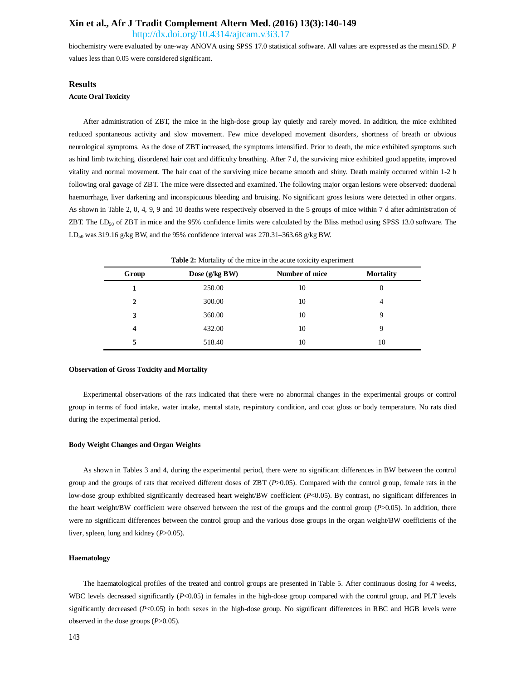<http://dx.doi.org/10.4314/ajtcam.v3i3.17>

biochemistry were evaluated by one-way ANOVA using SPSS 17.0 statistical software. All values are expressed as the mean±SD. *P* values less than 0.05 were considered significant.

## **Results**

#### **Acute Oral Toxicity**

After administration of ZBT, the mice in the high-dose group lay quietly and rarely moved. In addition, the mice exhibited reduced spontaneous activity and slow movement. Few mice developed movement disorders, shortness of breath or obvious neurological symptoms. As the dose of ZBT increased, the symptoms intensified. Prior to death, the mice exhibited symptoms such as hind limb twitching, disordered hair coat and difficulty breathing. After 7 d, the surviving mice exhibited good appetite, improved vitality and normal movement. The hair coat of the surviving mice became smooth and shiny. Death mainly occurred within 1-2 h following oral gavage of ZBT. The mice were dissected and examined. The following major organ lesions were observed: duodenal haemorrhage, liver darkening and inconspicuous bleeding and bruising. No significant gross lesions were detected in other organs. As shown in Table 2, 0, 4, 9, 9 and 10 deaths were respectively observed in the 5 groups of mice within 7 d after administration of ZBT. The LD<sub>50</sub> of ZBT in mice and the 95% confidence limits were calculated by the Bliss method using SPSS 13.0 software. The LD<sub>50</sub> was 319.16 g/kg BW, and the 95% confidence interval was 270.31–363.68 g/kg BW.

| Group | Dose (g/kg BW) | Number of mice | <b>Mortality</b> |
|-------|----------------|----------------|------------------|
|       | 250.00         | 10             | 0                |
| 2     | 300.00         | 10             | 4                |
| 3     | 360.00         | 10             | 9                |
| 4     | 432.00         | 10             | 9                |
| 5     | 518.40         | 10             | 10               |

**Table 2:** Mortality of the mice in the acute toxicity experiment

#### **Observation of Gross Toxicity and Mortality**

Experimental observations of the rats indicated that there were no abnormal changes in the experimental groups or control group in terms of food intake, water intake, mental state, respiratory condition, and coat gloss or body temperature. No rats died during the experimental period.

### **Body Weight Changes and Organ Weights**

As shown in Tables 3 and 4, during the experimental period, there were no significant differences in BW between the control group and the groups of rats that received different doses of ZBT (*P*>0.05). Compared with the control group, female rats in the low-dose group exhibited significantly decreased heart weight/BW coefficient (*P*<0.05). By contrast, no significant differences in the heart weight/BW coefficient were observed between the rest of the groups and the control group (*P*>0.05). In addition, there were no significant differences between the control group and the various dose groups in the organ weight/BW coefficients of the liver, spleen, lung and kidney (*P*>0.05).

### **Haematology**

The haematological profiles of the treated and control groups are presented in Table 5. After continuous dosing for 4 weeks, WBC levels decreased significantly (*P*<0.05) in females in the high-dose group compared with the control group, and PLT levels significantly decreased (*P<*0.05) in both sexes in the high-dose group. No significant differences in RBC and HGB levels were observed in the dose groups (*P*>0.05).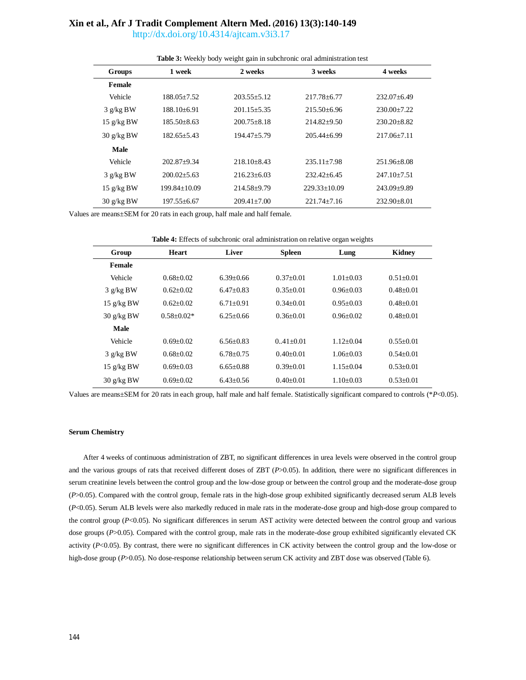<http://dx.doi.org/10.4314/ajtcam.v3i3.17>

|                                    | <b>THERE</b> of the case weight gain in subcincing oral administration test |                   |                    |                   |  |  |
|------------------------------------|-----------------------------------------------------------------------------|-------------------|--------------------|-------------------|--|--|
| <b>Groups</b>                      | 1 week                                                                      | 2 weeks           | 3 weeks            | 4 weeks           |  |  |
| <b>Female</b>                      |                                                                             |                   |                    |                   |  |  |
| Vehicle                            | 188.05+7.52                                                                 | $203.55 + 5.12$   | 217.78+6.77        | $232.07 + 6.49$   |  |  |
| $3$ g/kg BW                        | 188.10+6.91                                                                 | $201.15 + 5.35$   | $215.50 + 6.96$    | $230.00+7.22$     |  |  |
| $15 \text{ g/kg BW}$               | 185.50+8.63                                                                 | $200.75 + 8.18$   | $214.82+9.50$      | $230.20 + 8.82$   |  |  |
| $30 \frac{\text{g}}{\text{kg}}$ BW | $182.65 + 5.43$                                                             | $194.47 + 5.79$   | $205.44 + 6.99$    | $217.06 + 7.11$   |  |  |
| Male                               |                                                                             |                   |                    |                   |  |  |
| Vehicle                            | $202.87+9.34$                                                               | $218.10 + 8.43$   | $235.11 + 7.98$    | $251.96 + 8.08$   |  |  |
| $3$ g/kg BW                        | $200.02 + 5.63$                                                             | $216.23 + 6.03$   | $232.42 + 6.45$    | $247.10 + 7.51$   |  |  |
| $15 \text{ g/kg BW}$               | 199.84+10.09                                                                | $214.58 + 9.79$   | $229.33 \pm 10.09$ | $243.09 + 9.89$   |  |  |
| $30 \frac{\text{g}}{\text{kg}}$ BW | 197.55±6.67                                                                 | $209.41 \pm 7.00$ | $221.74 + 7.16$    | $232.90 \pm 8.01$ |  |  |

**Table 3:** Weekly body weight gain in subchronic oral administration test

Values are means±SEM for 20 rats in each group, half male and half female.

| Table 4: Effects of subchronic oral administration on relative organ weights |  |  |  |  |  |  |
|------------------------------------------------------------------------------|--|--|--|--|--|--|
|------------------------------------------------------------------------------|--|--|--|--|--|--|

| Group                              | Heart          | Liver         | <b>Spleen</b> | Lung          | <b>Kidney</b> |
|------------------------------------|----------------|---------------|---------------|---------------|---------------|
| Female                             |                |               |               |               |               |
| Vehicle                            | $0.68 + 0.02$  | $6.39 + 0.66$ | $0.37+0.01$   | $1.01 + 0.03$ | $0.51 + 0.01$ |
| 3 g/kg BW                          | $0.62+0.02$    | $6.47+0.83$   | $0.35 + 0.01$ | $0.96 + 0.03$ | $0.48 + 0.01$ |
| $15 \text{ g/kg BW}$               | $0.62+0.02$    | $6.71 + 0.91$ | $0.34 + 0.01$ | $0.95 + 0.03$ | $0.48 + 0.01$ |
| $30 \frac{\text{g}}{\text{kg}}$ BW | $0.58 + 0.02*$ | $6.25 + 0.66$ | $0.36 + 0.01$ | $0.96 + 0.02$ | $0.48 + 0.01$ |
| Male                               |                |               |               |               |               |
| Vehicle                            | $0.69 + 0.02$  | $6.56 + 0.83$ | $0.41 + 0.01$ | $1.12 + 0.04$ | $0.55+0.01$   |
| $3$ g/kg BW                        | $0.68 + 0.02$  | $6.78 + 0.75$ | $0.40 + 0.01$ | $1.06 + 0.03$ | $0.54 + 0.01$ |
| $15 \text{ g/kg BW}$               | $0.69 + 0.03$  | $6.65 + 0.88$ | $0.39 + 0.01$ | $1.15+0.04$   | $0.53 + 0.01$ |
| $30 \frac{\text{g}}{\text{kg}}$ BW | $0.69 + 0.02$  | $6.43+0.56$   | $0.40 + 0.01$ | $1.10+0.03$   | $0.53 + 0.01$ |

Values are means±SEM for 20 rats in each group, half male and half female. Statistically significant compared to controls (\**P*<0.05).

## **Serum Chemistry**

After 4 weeks of continuous administration of ZBT, no significant differences in urea levels were observed in the control group and the various groups of rats that received different doses of ZBT (*P*>0.05). In addition, there were no significant differences in serum creatinine levels between the control group and the low-dose group or between the control group and the moderate-dose group (*P*>0.05). Compared with the control group, female rats in the high-dose group exhibited significantly decreased serum ALB levels (*P*<0.05). Serum ALB levels were also markedly reduced in male rats in the moderate-dose group and high-dose group compared to the control group (*P*<0.05). No significant differences in serum AST activity were detected between the control group and various dose groups (*P*>0.05). Compared with the control group, male rats in the moderate-dose group exhibited significantly elevated CK activity  $(P<0.05)$ . By contrast, there were no significant differences in CK activity between the control group and the low-dose or high-dose group ( $P > 0.05$ ). No dose-response relationship between serum CK activity and ZBT dose was observed (Table 6).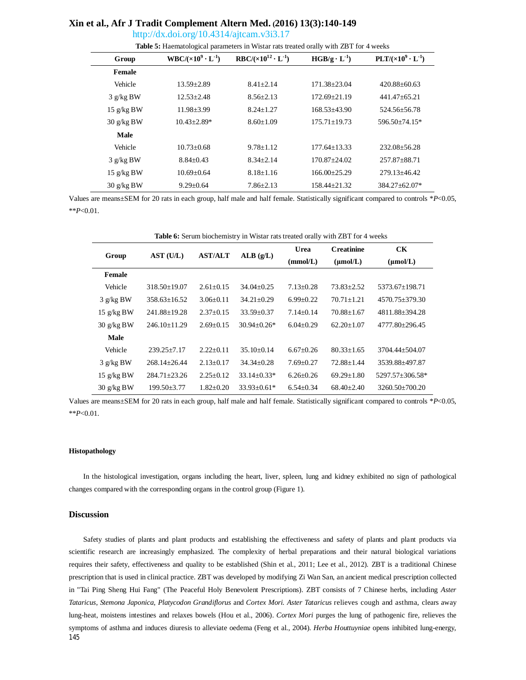<http://dx.doi.org/10.4314/ajtcam.v3i3.17>

| Group                              | $WBC/(x10^9 \cdot L^{-1})$ | $RBC/(x10^{12} \cdot L^{-1})$ | $HGB/g \cdot L^{-1}$ | $PLT/(x10^9 \cdot L^{-1})$ |
|------------------------------------|----------------------------|-------------------------------|----------------------|----------------------------|
| Female                             |                            |                               |                      |                            |
| Vehicle                            | $13.59 + 2.89$             | $8.41 + 2.14$                 | $171.38 + 23.04$     | $420.88 + 60.63$           |
| $3$ g/kg BW                        | $12.53 \pm 2.48$           | $8.56 + 2.13$                 | $172.69 + 21.19$     | $441.47 + 65.21$           |
| $15 \text{ g/kg BW}$               | $11.98 \pm 3.99$           | $8.24 + 1.27$                 | $168.53 + 43.90$     | 524.56+56.78               |
| $30 \frac{\text{g}}{\text{kg}}$ BW | $10.43 \pm 2.89*$          | $8.60 \pm 1.09$               | $175.71 + 19.73$     | 596.50±74.15*              |
| Male                               |                            |                               |                      |                            |
| Vehicle                            | $10.73 + 0.68$             | $9.78 + 1.12$                 | $177.64 + 13.33$     | $232.08 + 56.28$           |
| $3$ g/kg BW                        | $8.84 \pm 0.43$            | $8.34 + 2.14$                 | $170.87 + 24.02$     | 257.87+88.71               |
| $15 \text{ g/kg BW}$               | $10.69 + 0.64$             | $8.18 + 1.16$                 | $166.00+25.29$       | $279.13 + 46.42$           |
| $30 \frac{\text{g}}{\text{kg}}$ BW | $9.29 \pm 0.64$            | $7.86 \pm 2.13$               | $158.44 \pm 21.32$   | 384.27±62.07*              |

Values are means±SEM for 20 rats in each group, half male and half female. Statistically significant compared to controls \**P*<0.05, \*\**P*<0.01.

| <b>Table 6:</b> Serum biochemistry in Wistar rats treated orally with ZBT for 4 weeks |                    |                 |                   |                 |                   |                      |  |
|---------------------------------------------------------------------------------------|--------------------|-----------------|-------------------|-----------------|-------------------|----------------------|--|
|                                                                                       |                    |                 | ALB(g/L)          | Urea            | <b>Creatinine</b> | CK                   |  |
| Group                                                                                 | AST (U/L)          | <b>AST/ALT</b>  |                   | (mmol/L)        | $(\mu mol/L)$     | $(\mu \text{mol/L})$ |  |
| Female                                                                                |                    |                 |                   |                 |                   |                      |  |
| Vehicle                                                                               | $318.50 \pm 19.07$ | $2.61 + 0.15$   | $34.04 + 0.25$    | $7.13 + 0.28$   | $73.83 + 2.52$    | 5373.67+198.71       |  |
| $3$ g/kg BW                                                                           | $358.63 \pm 16.52$ | $3.06 \pm 0.11$ | $34.21 \pm 0.29$  | $6.99 \pm 0.22$ | $70.71 \pm 1.21$  | 4570.75 + 379.30     |  |
| 15 $g/kg$ BW                                                                          | 241.88±19.28       | $2.37 \pm 0.15$ | $33.59 \pm 0.37$  | $7.14 \pm 0.14$ | $70.88 \pm 1.67$  | 4811.88±394.28       |  |
| $30 \frac{\text{g}}{\text{kg}}$ BW                                                    | $246.10 \pm 11.29$ | $2.69 \pm 0.15$ | $30.94 + 0.26*$   | $6.04+0.29$     | $62.20 \pm 1.07$  | $4777.80 \pm 296.45$ |  |
| Male                                                                                  |                    |                 |                   |                 |                   |                      |  |
| Vehicle                                                                               | $239.25 + 7.17$    | $2.22+0.11$     | $35.10+0.14$      | $6.67+0.26$     | $80.33 + 1.65$    | 3704.44+504.07       |  |
| $3$ g/kg BW                                                                           | $268.14 \pm 26.44$ | $2.13 \pm 0.17$ | $34.34 + 0.28$    | $7.69 \pm 0.27$ | $72.88 + 1.44$    | 3539.88±497.87       |  |
| 15 $g/kg$ BW                                                                          | $284.71 + 23.26$   | $2.25 \pm 0.12$ | $33.14 \pm 0.33*$ | $6.26 \pm 0.26$ | $69.29 \pm 1.80$  | 5297.57±306.58*      |  |
| $30 \frac{\text{g}}{\text{kg}}$ BW                                                    | $199.50 \pm 3.77$  | $1.82 \pm 0.20$ | $33.93 + 0.61*$   | $6.54 \pm 0.34$ | $68.40 + 2.40$    | $3260.50 \pm 700.20$ |  |

Values are means±SEM for 20 rats in each group, half male and half female. Statistically significant compared to controls \**P*<0.05, \*\**P*<0.01.

### **Histopathology**

In the histological investigation, organs including the heart, liver, spleen, lung and kidney exhibited no sign of pathological changes compared with the corresponding organs in the control group (Figure 1).

## **Discussion**

145 Safety studies of plants and plant products and establishing the effectiveness and safety of plants and plant products via scientific research are increasingly emphasized. The complexity of herbal preparations and their natural biological variations requires their safety, effectiveness and quality to be established (Shin et al., 2011; Lee et al., 2012). ZBT is a traditional Chinese prescription that is used in clinical practice. ZBT was developed by modifying Zi Wan San, an ancient medical prescription collected in "Tai Ping Sheng Hui Fang" (The Peaceful Holy Benevolent Prescriptions). ZBT consists of 7 Chinese herbs, including *Aster Tataricus*, *Stemona Japonica, Platycodon Grandiflorus* and *Cortex Mori. Aster Tataricus* relieves cough and asthma, clears away lung-heat, moistens intestines and relaxes bowels (Hou et al., 2006). *Cortex Mori* purges the lung of pathogenic fire, relieves the symptoms of asthma and induces diuresis to alleviate oedema (Feng et al., 2004). *Herba Houttuyniae* opens inhibited lung-energy,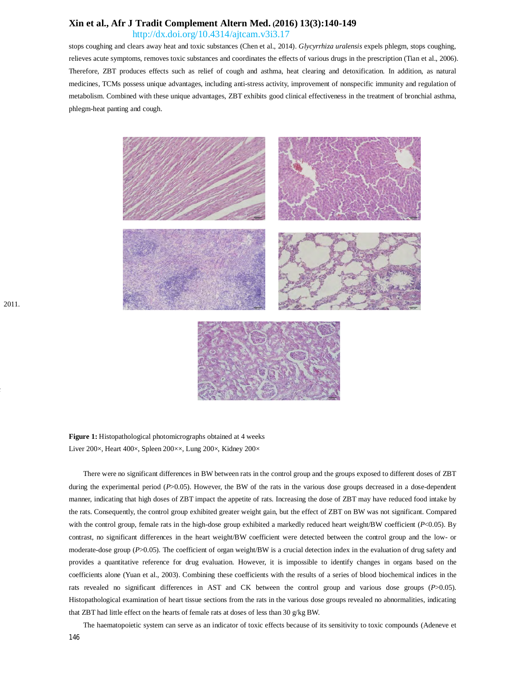<http://dx.doi.org/10.4314/ajtcam.v3i3.17>

stops coughing and clears away heat and toxic substances (Chen et al., 2014). *Glycyrrhiza uralensis* expels phlegm, stops coughing, relieves acute symptoms, removes toxic substances and coordinates the effects of various drugs in the prescription (Tian et al., 2006). Therefore, ZBT produces effects such as relief of cough and asthma, heat clearing and detoxification. In addition, as natural medicines, TCMs possess unique advantages, including anti-stress activity, improvement of nonspecific immunity and regulation of metabolism. Combined with these unique advantages, ZBT exhibits good clinical effectiveness in the treatment of bronchial asthma, phlegm-heat panting and cough.



**Figure 1:** Histopathological photomicrographs obtained at 4 weeks Liver 200×, Heart 400×, Spleen 200××, Lung 200×, Kidney 200×

There were no significant differences in BW between rats in the control group and the groups exposed to different doses of ZBT during the experimental period (*P*>0.05). However, the BW of the rats in the various dose groups decreased in a dose-dependent manner, indicating that high doses of ZBT impact the appetite of rats. Increasing the dose of ZBT may have reduced food intake by the rats. Consequently, the control group exhibited greater weight gain, but the effect of ZBT on BW was not significant. Compared with the control group, female rats in the high-dose group exhibited a markedly reduced heart weight/BW coefficient (*P*<0.05). By contrast, no significant differences in the heart weight/BW coefficient were detected between the control group and the low- or moderate-dose group (*P*>0.05). The coefficient of organ weight/BW is a crucial detection index in the evaluation of drug safety and provides a quantitative reference for drug evaluation. However, it is impossible to identify changes in organs based on the coefficients alone (Yuan et al., 2003). Combining these coefficients with the results of a series of blood biochemical indices in the rats revealed no significant differences in AST and CK between the control group and various dose groups (*P*>0.05). Histopathological examination of heart tissue sections from the rats in the various dose groups revealed no abnormalities, indicating that ZBT had little effect on the hearts of female rats at doses of less than 30 g/kg BW.

The haematopoietic system can serve as an indicator of toxic effects because of its sensitivity to toxic compounds (Adeneve et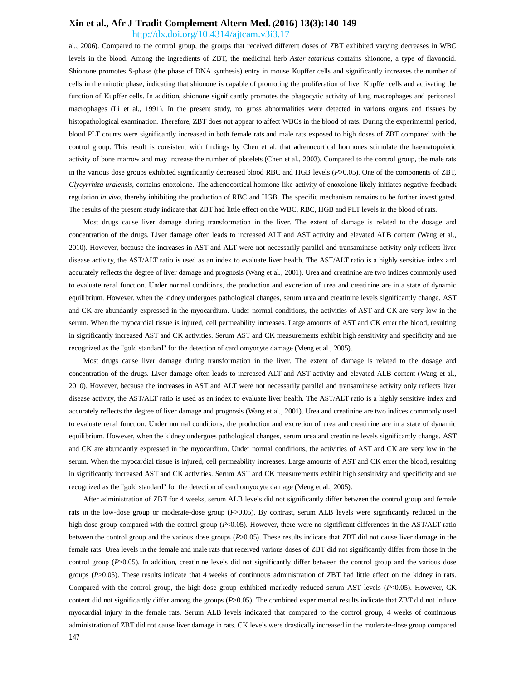<http://dx.doi.org/10.4314/ajtcam.v3i3.17>

al., 2006). Compared to the control group, the groups that received different doses of ZBT exhibited varying decreases in WBC levels in the blood. Among the ingredients of ZBT, the medicinal herb *Aster tataricus* contains shionone, a type of flavonoid. Shionone promotes S-phase (the phase of DNA synthesis) entry in mouse Kupffer cells and significantly increases the number of cells in the mitotic phase, indicating that shionone is capable of promoting the proliferation of liver Kupffer cells and activating the function of Kupffer cells. In addition, shionone significantly promotes the phagocytic activity of lung macrophages and peritoneal macrophages (Li et al., 1991). In the present study, no gross abnormalities were detected in various organs and tissues by histopathological examination. Therefore, ZBT does not appear to affect WBCs in the blood of rats. During the experimental period, blood PLT counts were significantly increased in both female rats and male rats exposed to high doses of ZBT compared with the control group. This result is consistent with findings by Chen et al. that adrenocortical hormones stimulate the haematopoietic activity of bone marrow and may increase the number of platelets (Chen et al., 2003). Compared to the control group, the male rats in the various dose groups exhibited significantly decreased blood RBC and HGB levels (*P*>0.05). One of the components of ZBT, *Glycyrrhiza uralensis*, contains enoxolone. The adrenocortical hormone-like activity of enoxolone likely initiates negative feedback regulation *in vivo*, thereby inhibiting the production of RBC and HGB. The specific mechanism remains to be further investigated. The results of the present study indicate that ZBT had little effect on the WBC, RBC, HGB and PLT levels in the blood of rats.

Most drugs cause liver damage during transformation in the liver. The extent of damage is related to the dosage and concentration of the drugs. Liver damage often leads to increased ALT and AST activity and elevated ALB content (Wang et al., 2010). However, because the increases in AST and ALT were not necessarily parallel and transaminase activity only reflects liver disease activity, the AST/ALT ratio is used as an index to evaluate liver health. The AST/ALT ratio is a highly sensitive index and accurately reflects the degree of liver damage and prognosis (Wang et al., 2001). Urea and creatinine are two indices commonly used to evaluate renal function. Under normal conditions, the production and excretion of urea and creatinine are in a state of dynamic equilibrium. However, when the kidney undergoes pathological changes, serum urea and creatinine levels significantly change. AST and CK are abundantly expressed in the myocardium. Under normal conditions, the activities of AST and CK are very low in the serum. When the myocardial tissue is injured, cell permeability increases. Large amounts of AST and CK enter the blood, resulting in significantly increased AST and CK activities. Serum AST and CK measurements exhibit high sensitivity and specificity and are recognized as the "gold standard" for the detection of cardiomyocyte damage (Meng et al., 2005).

Most drugs cause liver damage during transformation in the liver. The extent of damage is related to the dosage and concentration of the drugs. Liver damage often leads to increased ALT and AST activity and elevated ALB content (Wang et al., 2010). However, because the increases in AST and ALT were not necessarily parallel and transaminase activity only reflects liver disease activity, the AST/ALT ratio is used as an index to evaluate liver health. The AST/ALT ratio is a highly sensitive index and accurately reflects the degree of liver damage and prognosis (Wang et al., 2001). Urea and creatinine are two indices commonly used to evaluate renal function. Under normal conditions, the production and excretion of urea and creatinine are in a state of dynamic equilibrium. However, when the kidney undergoes pathological changes, serum urea and creatinine levels significantly change. AST and CK are abundantly expressed in the myocardium. Under normal conditions, the activities of AST and CK are very low in the serum. When the myocardial tissue is injured, cell permeability increases. Large amounts of AST and CK enter the blood, resulting in significantly increased AST and CK activities. Serum AST and CK measurements exhibit high sensitivity and specificity and are recognized as the "gold standard" for the detection of cardiomyocyte damage (Meng et al., 2005).

147 After administration of ZBT for 4 weeks, serum ALB levels did not significantly differ between the control group and female rats in the low-dose group or moderate-dose group (*P*>0.05). By contrast, serum ALB levels were significantly reduced in the high-dose group compared with the control group (*P*<0.05). However, there were no significant differences in the AST/ALT ratio between the control group and the various dose groups (*P*>0.05). These results indicate that ZBT did not cause liver damage in the female rats. Urea levels in the female and male rats that received various doses of ZBT did not significantly differ from those in the control group (*P*>0.05). In addition, creatinine levels did not significantly differ between the control group and the various dose groups (*P*>0.05). These results indicate that 4 weeks of continuous administration of ZBT had little effect on the kidney in rats. Compared with the control group, the high-dose group exhibited markedly reduced serum AST levels (*P*<0.05). However, CK content did not significantly differ among the groups (*P*>0.05). The combined experimental results indicate that ZBT did not induce myocardial injury in the female rats. Serum ALB levels indicated that compared to the control group, 4 weeks of continuous administration of ZBT did not cause liver damage in rats. CK levels were drastically increased in the moderate-dose group compared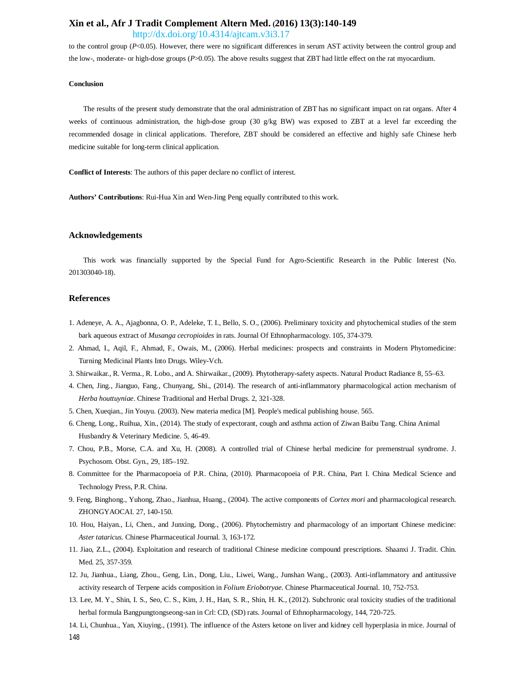<http://dx.doi.org/10.4314/ajtcam.v3i3.17>

to the control group (*P<*0.05). However, there were no significant differences in serum AST activity between the control group and the low-, moderate- or high-dose groups (*P*>0.05). The above results suggest that ZBT had little effect on the rat myocardium.

## **Conclusion**

The results of the present study demonstrate that the oral administration of ZBT has no significant impact on rat organs. After 4 weeks of continuous administration, the high-dose group (30 g/kg BW) was exposed to ZBT at a level far exceeding the recommended dosage in clinical applications. Therefore, ZBT should be considered an effective and highly safe Chinese herb medicine suitable for long-term clinical application.

**Conflict of Interests**: The authors of this paper declare no conflict of interest.

**Authors' Contributions**: Rui-Hua Xin and Wen-Jing Peng equally contributed to this work.

## **Acknowledgements**

This work was financially supported by the Special Fund for Agro-Scientific Research in the Public Interest (No. 201303040-18).

## **References**

- 1. Adeneye, A. A., Ajagbonna, O. P., Adeleke, T. I., Bello, S. O., (2006). Preliminary toxicity and phytochemical studies of the stem bark aqueous extract of *Musanga cecropioides* in rats. Journal Of Ethnopharmacology. 105, 374-379.
- 2. Ahmad, I., Aqil, F., Ahmad, F., Owais, M., (2006). Herbal medicines: prospects and constraints in Modern Phytomedicine: Turning Medicinal Plants Into Drugs. Wiley-Vch.
- 3. Shirwaikar., R. Verma., R. Lobo., and A. Shirwaikar., (2009). Phytotherapy-safety aspects. Natural Product Radiance 8, 55–63.
- 4. Chen, Jing., Jianguo, Fang., Chunyang, Shi., (2014). The research of anti-inflammatory pharmacological action mechanism of *Herba houttuyniae*. Chinese Traditional and Herbal Drugs. 2, 321-328.
- 5. Chen, Xueqian., Jin Youyu. (2003). New materia medica [M]. People's medical publishing house. 565.
- 6. Cheng, Long., Ruihua, Xin., (2014). The study of expectorant, cough and asthma action of Ziwan Baibu Tang. China Animal Husbandry & Veterinary Medicine. 5, 46-49.
- 7. Chou, P.B., Morse, C.A. and Xu, H. (2008). A controlled trial of Chinese herbal medicine for premenstrual syndrome. J. Psychosom. Obst. Gyn., 29, 185–192.
- 8. Committee for the Pharmacopoeia of P.R. China, (2010). Pharmacopoeia of P.R. China, Part I. China Medical Science and Technology Press, P.R. China.
- 9. Feng, Binghong., Yuhong, Zhao., Jianhua, Huang., (2004). The active components of *Cortex mori* and pharmacological research. ZHONGYAOCAI. 27, 140-150.
- 10. Hou, Haiyan., Li, Chen., and Junxing, Dong., (2006). Phytochemistry and pharmacology of an important Chinese medicine: *Aster tataricus.* Chinese Pharmaceutical Journal. 3, 163-172.
- 11. Jiao, Z.L., (2004). Exploitation and research of traditional Chinese medicine compound prescriptions. Shaanxi J. Tradit. Chin. Med. 25, 357-359.
- 12. Ju, Jianhua., Liang, Zhou., Geng, Lin., Dong, Liu., Liwei, Wang., Junshan Wang., (2003). Anti-inflammatory and antitussive activity research of Terpene acids composition in *Folium Eriobotryae.* Chinese Pharmaceutical Journal. 10, 752-753.
- 13. Lee, M. Y., Shin, I. S., Seo, C. S., Kim, J. H., Han, S. R., Shin, H. K., (2012). Subchronic oral toxicity studies of the traditional herbal formula Bangpungtongseong-san in Crl: CD, (SD) rats. Journal of Ethnopharmacology, 144, 720-725.
- 148 14. Li, Chunhua., Yan, Xiuying., (1991). The influence of the Asters ketone on liver and kidney cell hyperplasia in mice. Journal of